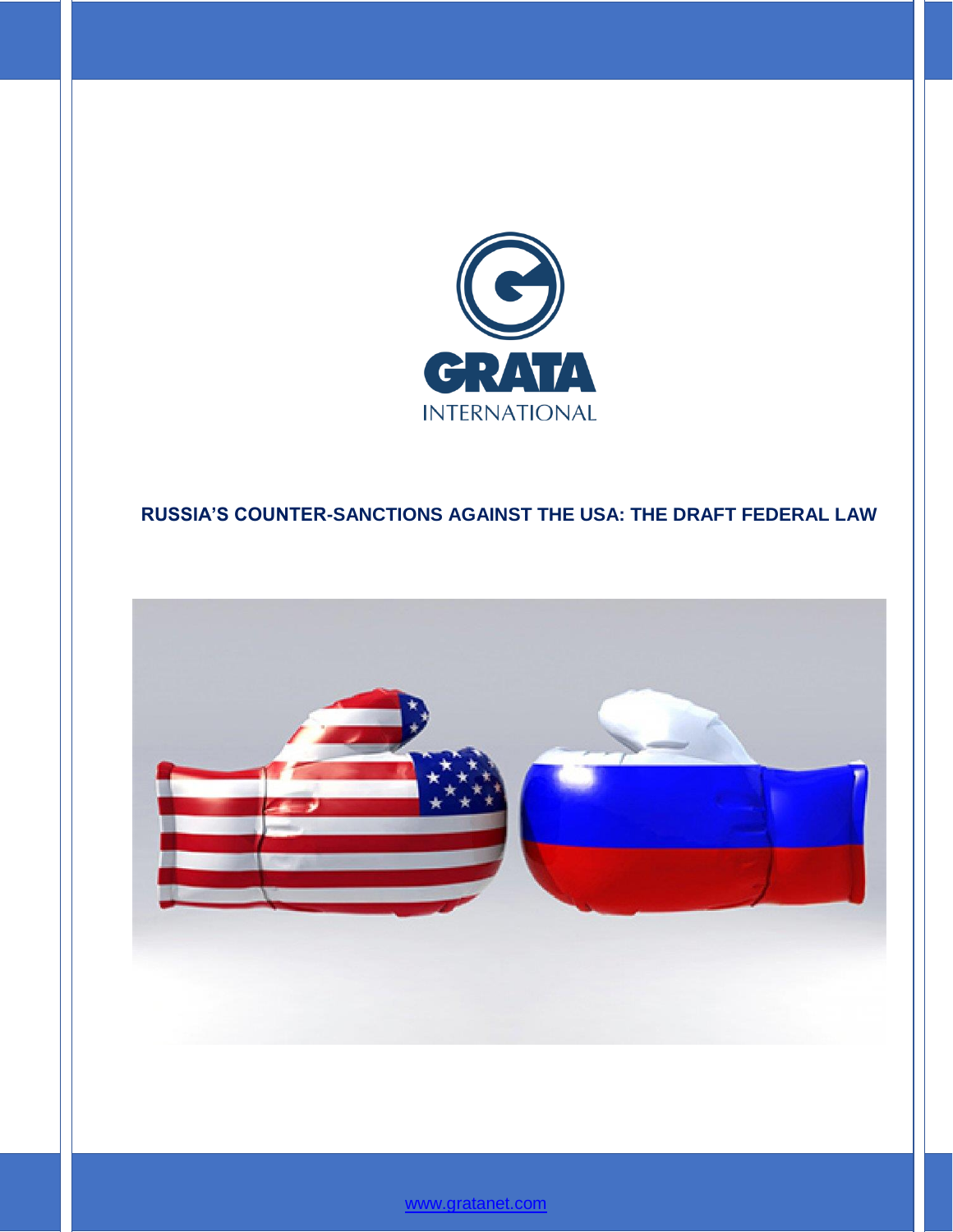

## **RUSSIA'S COUNTER-SANCTIONS AGAINST THE USA: THE DRAFT FEDERAL LAW**



[www.gratanet.com](file:///C:/Users/ADukenbayeva/AppData/Roaming/Microsoft/Word/www.gratanet.com)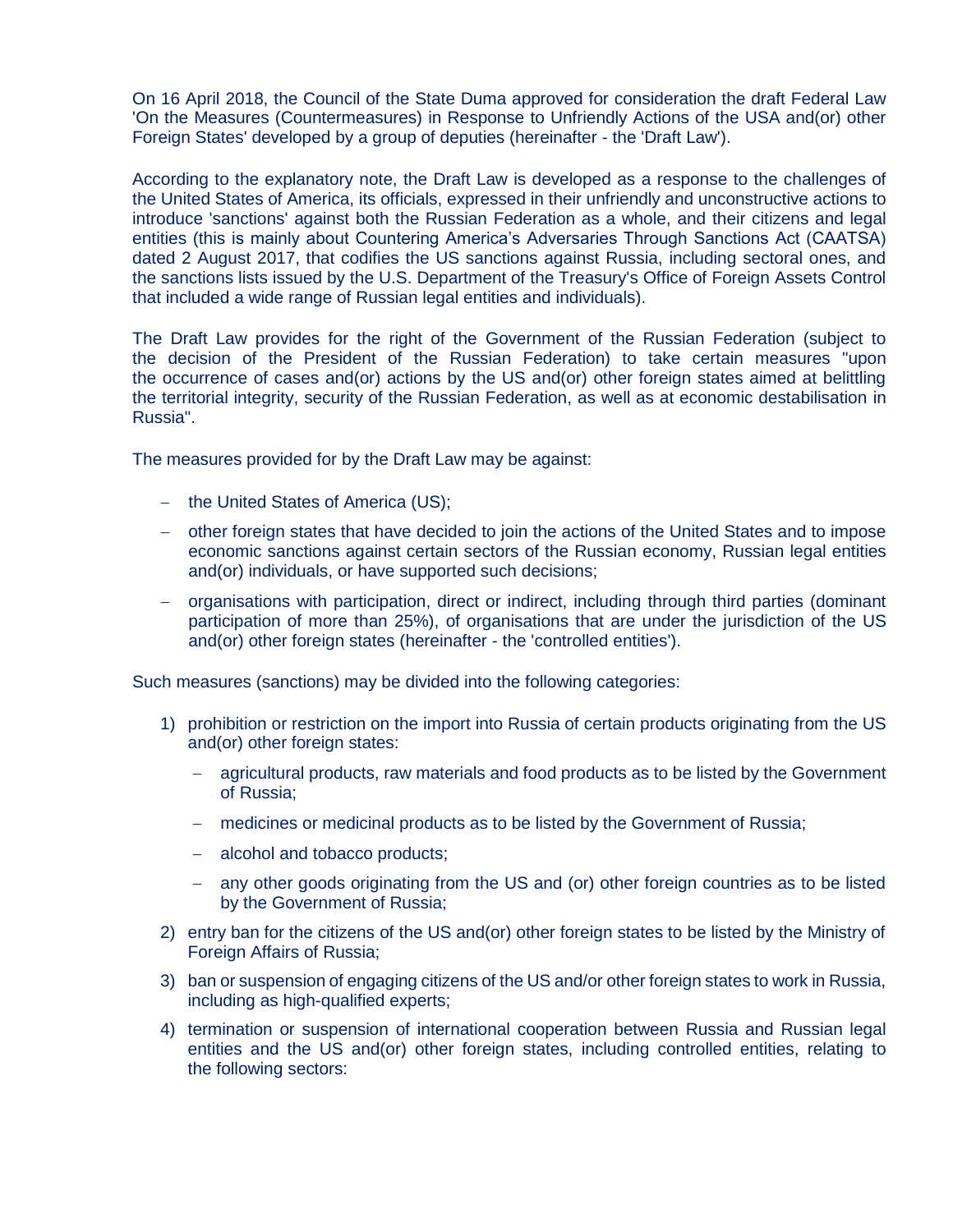On 16 April 2018, the Council of the State Duma approved for consideration the draft Federal Law 'On the Measures (Countermeasures) in Response to Unfriendly Actions of the USA and(or) other Foreign States' developed by a group of deputies (hereinafter - the 'Draft Law').

According to the explanatory note, the Draft Law is developed as a response to the challenges of the United States of America, its officials, expressed in their unfriendly and unconstructive actions to introduce 'sanctions' against both the Russian Federation as a whole, and their citizens and legal entities (this is mainly about Countering America's Adversaries Through Sanctions Act (CAATSA) dated 2 August 2017, that codifies the US sanctions against Russia, including sectoral ones, and the sanctions lists issued by the U.S. Department of the Treasury's Office of Foreign Assets Control that included a wide range of Russian legal entities and individuals).

The Draft Law provides for the right of the Government of the Russian Federation (subject to the decision of the President of the Russian Federation) to take certain measures "upon the occurrence of cases and(or) actions by the US and(or) other foreign states aimed at belittling the territorial integrity, security of the Russian Federation, as well as at economic destabilisation in Russia".

The measures provided for by the Draft Law may be against:

- $-$  the United States of America (US);
- other foreign states that have decided to join the actions of the United States and to impose economic sanctions against certain sectors of the Russian economy, Russian legal entities and(or) individuals, or have supported such decisions;
- organisations with participation, direct or indirect, including through third parties (dominant participation of more than 25%), of organisations that are under the jurisdiction of the US and(or) other foreign states (hereinafter - the 'controlled entities').

Such measures (sanctions) may be divided into the following categories:

- 1) prohibition or restriction on the import into Russia of certain products originating from the US and(or) other foreign states:
	- agricultural products, raw materials and food products as to be listed by the Government of Russia;
	- medicines or medicinal products as to be listed by the Government of Russia;
	- alcohol and tobacco products;
	- any other goods originating from the US and (or) other foreign countries as to be listed by the Government of Russia;
- 2) entry ban for the citizens of the US and(or) other foreign states to be listed by the Ministry of Foreign Affairs of Russia;
- 3) ban or suspension of engaging citizens of the US and/or other foreign states to work in Russia, including as high-qualified experts;
- 4) termination or suspension of international cooperation between Russia and Russian legal entities and the US and(or) other foreign states, including controlled entities, relating to the following sectors: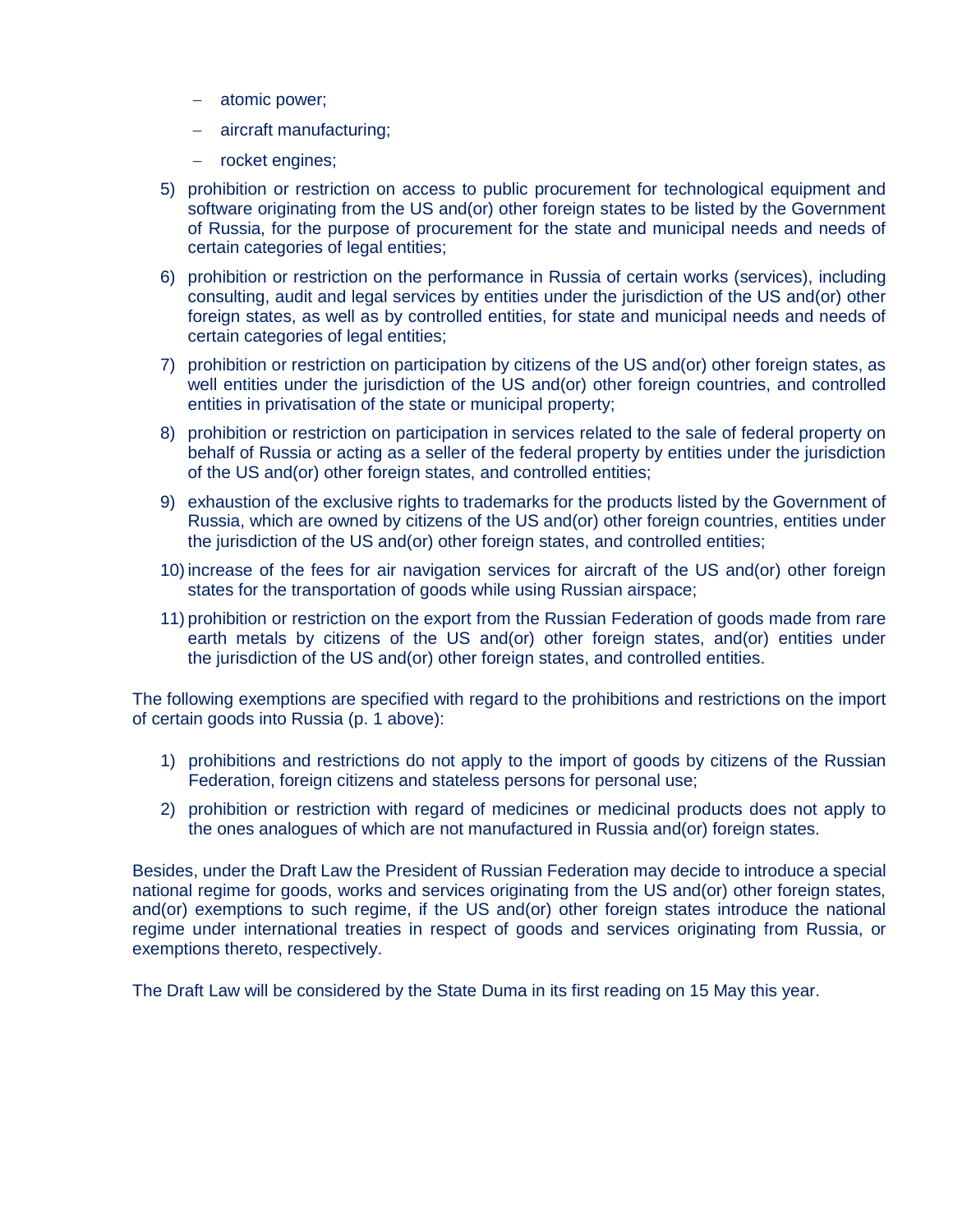- atomic power;
- aircraft manufacturing;
- rocket engines;
- 5) prohibition or restriction on access to public procurement for technological equipment and software originating from the US and(or) other foreign states to be listed by the Government of Russia, for the purpose of procurement for the state and municipal needs and needs of certain categories of legal entities;
- 6) prohibition or restriction on the performance in Russia of certain works (services), including consulting, audit and legal services by entities under the jurisdiction of the US and(or) other foreign states, as well as by controlled entities, for state and municipal needs and needs of certain categories of legal entities;
- 7) prohibition or restriction on participation by citizens of the US and(or) other foreign states, as well entities under the jurisdiction of the US and(or) other foreign countries, and controlled entities in privatisation of the state or municipal property;
- 8) prohibition or restriction on participation in services related to the sale of federal property on behalf of Russia or acting as a seller of the federal property by entities under the jurisdiction of the US and(or) other foreign states, and controlled entities;
- 9) exhaustion of the exclusive rights to trademarks for the products listed by the Government of Russia, which are owned by citizens of the US and(or) other foreign countries, entities under the jurisdiction of the US and(or) other foreign states, and controlled entities;
- 10) increase of the fees for air navigation services for aircraft of the US and(or) other foreign states for the transportation of goods while using Russian airspace;
- 11) prohibition or restriction on the export from the Russian Federation of goods made from rare earth metals by citizens of the US and(or) other foreign states, and(or) entities under the jurisdiction of the US and(or) other foreign states, and controlled entities.

The following exemptions are specified with regard to the prohibitions and restrictions on the import of certain goods into Russia (p. 1 above):

- 1) prohibitions and restrictions do not apply to the import of goods by citizens of the Russian Federation, foreign citizens and stateless persons for personal use;
- 2) prohibition or restriction with regard of medicines or medicinal products does not apply to the ones analogues of which are not manufactured in Russia and(or) foreign states.

Besides, under the Draft Law the President of Russian Federation may decide to introduce a special national regime for goods, works and services originating from the US and(or) other foreign states, and(or) exemptions to such regime, if the US and(or) other foreign states introduce the national regime under international treaties in respect of goods and services originating from Russia, or exemptions thereto, respectively.

The Draft Law will be considered by the State Duma in its first reading on 15 May this year.